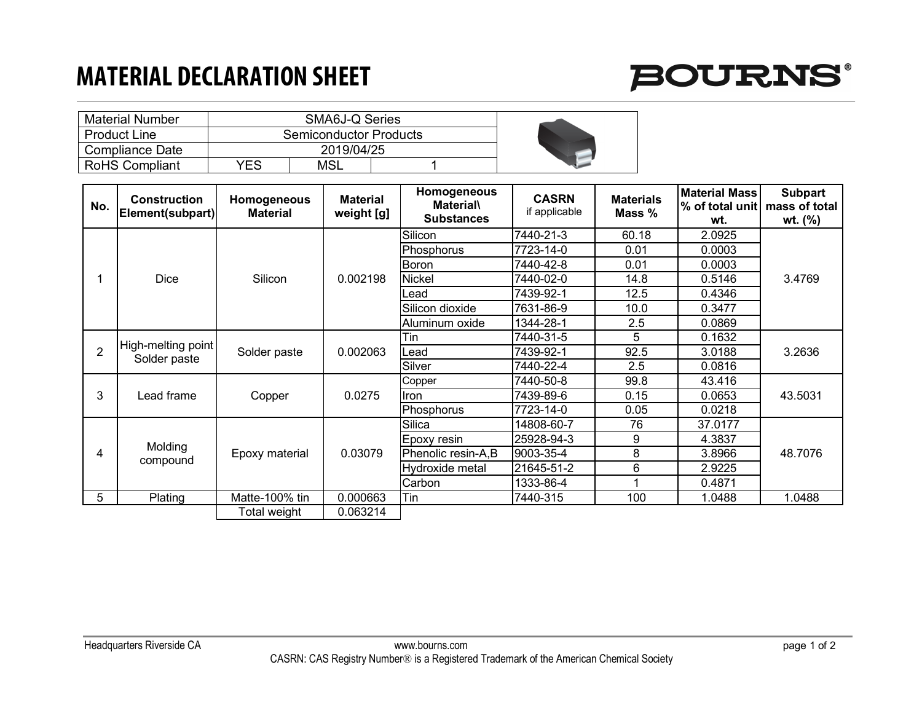## **MATERIAL DECLARATION SHEET**



| <b>Material Number</b> |                        |     |  |  |
|------------------------|------------------------|-----|--|--|
| <b>Product Line</b>    | Semiconductor Products |     |  |  |
| Compliance Date        |                        |     |  |  |
| <b>RoHS Compliant</b>  | <b>YES</b>             | MSL |  |  |

| No.             | <b>Construction</b><br>Element(subpart) | <b>Homogeneous</b><br><b>Material</b> | <b>Material</b><br>weight [g] | Homogeneous<br><b>Material</b><br><b>Substances</b> | <b>CASRN</b><br>if applicable | <b>Materials</b><br>Mass % | <b>Material Mass</b><br>% of total unit mass of total<br>wt. | <b>Subpart</b><br>wt. (%) |
|-----------------|-----------------------------------------|---------------------------------------|-------------------------------|-----------------------------------------------------|-------------------------------|----------------------------|--------------------------------------------------------------|---------------------------|
|                 |                                         |                                       |                               | Silicon                                             | 7440-21-3                     | 60.18                      | 2.0925                                                       |                           |
|                 | <b>Dice</b>                             | Silicon                               | 0.002198                      | Phosphorus                                          | 7723-14-0                     | 0.01                       | 0.0003                                                       | 3.4769                    |
|                 |                                         |                                       |                               | Boron                                               | 7440-42-8                     | 0.01                       | 0.0003                                                       |                           |
|                 |                                         |                                       |                               |                                                     |                               |                            |                                                              |                           |
|                 |                                         |                                       |                               | <b>Nickel</b>                                       | 7440-02-0                     | 14.8                       | 0.5146                                                       |                           |
|                 |                                         |                                       |                               | ∟ead                                                | 7439-92-1                     | 12.5                       | 0.4346                                                       |                           |
|                 |                                         |                                       |                               | Silicon dioxide                                     | 7631-86-9                     | 10.0                       | 0.3477                                                       |                           |
|                 |                                         |                                       |                               | Aluminum oxide                                      | 1344-28-1                     | 2.5                        | 0.0869                                                       |                           |
| $\overline{2}$  | High-melting point<br>Solder paste      | Solder paste                          | 0.002063                      | Tin                                                 | 7440-31-5                     | 5                          | 0.1632                                                       | 3.2636                    |
|                 |                                         |                                       |                               | ∟ead                                                | 7439-92-1                     | 92.5                       | 3.0188                                                       |                           |
|                 |                                         |                                       |                               | Silver                                              | 7440-22-4                     | 2.5                        | 0.0816                                                       |                           |
| 3               | Lead frame                              | Copper                                | 0.0275                        | Copper                                              | 7440-50-8                     | 99.8                       | 43.416                                                       | 43.5031                   |
|                 |                                         |                                       |                               | Iron                                                | 7439-89-6                     | 0.15                       | 0.0653                                                       |                           |
|                 |                                         |                                       |                               | Phosphorus                                          | 7723-14-0                     | 0.05                       | 0.0218                                                       |                           |
| 4               | Molding<br>compound                     | Epoxy material                        | 0.03079                       | Silica                                              | 14808-60-7                    | 76                         | 37.0177                                                      | 48.7076                   |
|                 |                                         |                                       |                               | Epoxy resin                                         | 25928-94-3                    | 9                          | 4.3837                                                       |                           |
|                 |                                         |                                       |                               | Phenolic resin-A,B                                  | 9003-35-4                     | 8                          | 3.8966                                                       |                           |
|                 |                                         |                                       |                               | Hydroxide metal                                     | 21645-51-2                    | 6                          | 2.9225                                                       |                           |
|                 |                                         |                                       |                               | Carbon                                              | 1333-86-4                     |                            | 0.4871                                                       |                           |
| $5\phantom{.0}$ | Plating                                 | Matte-100% tin                        | 0.000663                      | Tin                                                 | 7440-315                      | 100                        | 1.0488                                                       | 1.0488                    |
|                 |                                         | Total weight                          | 0.063214                      |                                                     |                               |                            |                                                              |                           |